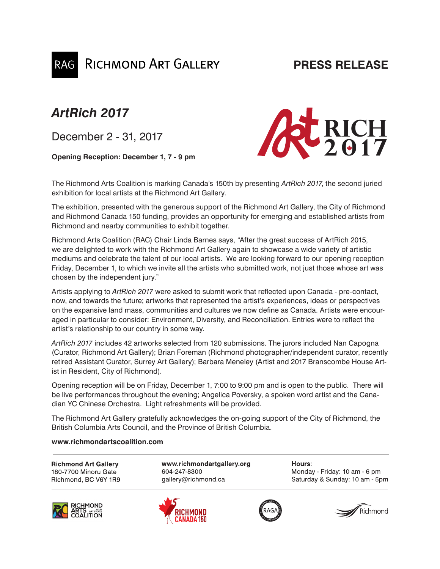### **PRESS RELEASE**

## *ArtRich 2017*

December 2 - 31, 2017

**Opening Reception: December 1, 7 - 9 pm**

**RICHMOND ART GALLERY** 



The Richmond Arts Coalition is marking Canada's 150th by presenting *ArtRich 2017*, the second juried exhibition for local artists at the Richmond Art Gallery.

The exhibition, presented with the generous support of the Richmond Art Gallery, the City of Richmond and Richmond Canada 150 funding, provides an opportunity for emerging and established artists from Richmond and nearby communities to exhibit together.

Richmond Arts Coalition (RAC) Chair Linda Barnes says, "After the great success of ArtRich 2015, we are delighted to work with the Richmond Art Gallery again to showcase a wide variety of artistic mediums and celebrate the talent of our local artists. We are looking forward to our opening reception Friday, December 1, to which we invite all the artists who submitted work, not just those whose art was chosen by the independent jury."

Artists applying to *ArtRich 2017* were asked to submit work that reflected upon Canada - pre-contact, now, and towards the future; artworks that represented the artist's experiences, ideas or perspectives on the expansive land mass, communities and cultures we now define as Canada. Artists were encouraged in particular to consider: Environment, Diversity, and Reconciliation. Entries were to reflect the artist's relationship to our country in some way.

*ArtRich 2017* includes 42 artworks selected from 120 submissions. The jurors included Nan Capogna (Curator, Richmond Art Gallery); Brian Foreman (Richmond photographer/independent curator, recently retired Assistant Curator, Surrey Art Gallery); Barbara Meneley (Artist and 2017 Branscombe House Artist in Resident, City of Richmond).

Opening reception will be on Friday, December 1, 7:00 to 9:00 pm and is open to the public. There will be live performances throughout the evening; Angelica Poversky, a spoken word artist and the Canadian YC Chinese Orchestra. Light refreshments will be provided.

The Richmond Art Gallery gratefully acknowledges the on-going support of the City of Richmond, the British Columbia Arts Council, and the Province of British Columbia.

#### **www.richmondartscoalition.com**

**Richmond Art Gallery** 180-7700 Minoru Gate Richmond, BC V6Y 1R9

www.richmondartgallery.org 604-247-8300 gallery@richmond.ca







Hours:

Monday - Friday: 10 am - 6 pm Saturday & Sunday: 10 am - 5pm